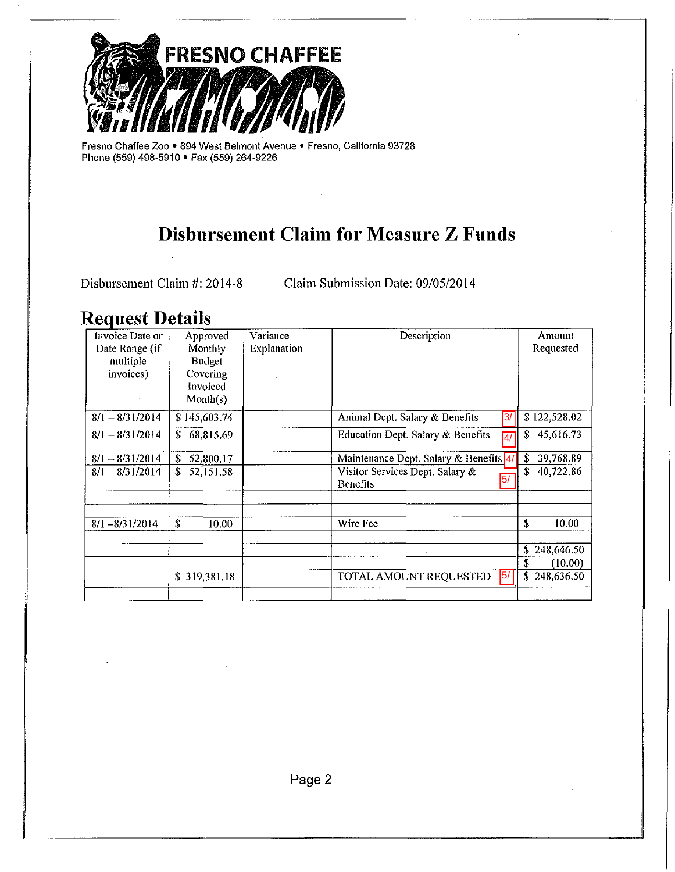

Fresno Chaffee Zoo • 894 West Belmont Avenue • Fresno, California 93728 Phone (559) 498-5910 • Fax (559) 264-9226

## **Disbursement Claim for Measure Z Funds**

Disbursement Claim #: 2014-8 Claim Submission Date: 09/05/2014

 $\overline{a}$ 

### **Request Details**

| Invoice Date or   | Approved        | Variance           | Description                                                           | Amount           |
|-------------------|-----------------|--------------------|-----------------------------------------------------------------------|------------------|
| Date Range (if    | Monthly         | <b>Explanation</b> |                                                                       | Requested        |
| multiple          | <b>Budget</b>   |                    |                                                                       |                  |
| invoices)         | Covering        |                    |                                                                       |                  |
|                   | Invoiced        |                    |                                                                       |                  |
|                   | Month(s)        |                    |                                                                       |                  |
| $8/1 - 8/31/2014$ | \$145,603.74    |                    | Animal Dept. Salary & Benefits<br>3/                                  | \$122,528.02     |
| $8/1 - 8/31/2014$ | Ŝ.<br>68,815.69 |                    | <b>Education Dept. Salary &amp; Benefits</b><br>$\overline{4/}$       | 45,616.73<br>Ŝ   |
| $8/1 - 8/31/2014$ | \$<br>52,800.17 |                    | Maintenance Dept. Salary & Benefits 4/                                | 39,768.89<br>\$  |
| $8/1 - 8/31/2014$ | 52,151.58<br>\$ |                    | Visitor Services Dept. Salary &<br>$\overline{5/}$<br><b>Benefits</b> | 40,722.86<br>Ŝ   |
|                   |                 |                    |                                                                       |                  |
|                   |                 |                    |                                                                       |                  |
| $8/1 - 8/31/2014$ | \$<br>10.00     |                    | Wire Fee                                                              | \$<br>10.00      |
|                   |                 |                    |                                                                       |                  |
|                   |                 |                    |                                                                       | \$<br>248,646.50 |
|                   |                 |                    |                                                                       | S<br>(10.00)     |
|                   | \$319,381.18    |                    | 5/<br>TOTAL AMOUNT REQUESTED                                          | \$248,636.50     |
|                   |                 |                    |                                                                       |                  |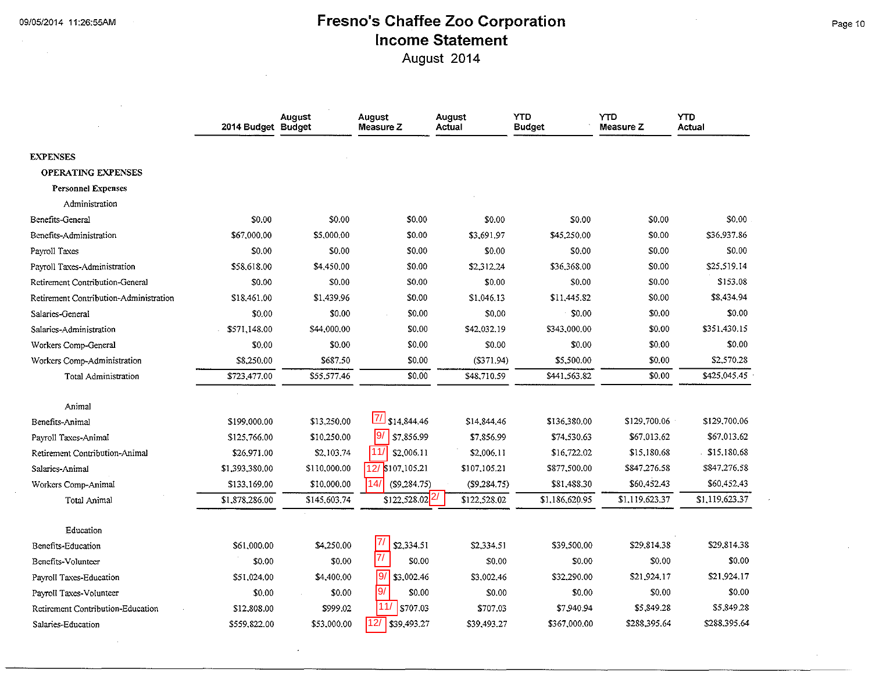$\sim 10^{-1}$ 

### **Fresno's Chaffee Zoo Corporation Income Statement**

August 2014

|                                        | 2014 Budget Budget | August       | August<br>Measure Z           | August<br>Actual | <b>YTD</b><br><b>Budget</b> | YTD<br>Measure Z | <b>YTD</b><br>Actual |
|----------------------------------------|--------------------|--------------|-------------------------------|------------------|-----------------------------|------------------|----------------------|
| <b>EXPENSES</b>                        |                    |              |                               |                  |                             |                  |                      |
| <b>OPERATING EXPENSES</b>              |                    |              |                               |                  |                             |                  |                      |
| <b>Personnel Expenses</b>              |                    |              |                               |                  |                             |                  |                      |
| Administration                         |                    |              |                               |                  |                             |                  |                      |
| Benefits-General                       | \$0.00             | \$0.00       | \$0,00                        | \$0.00           | \$0.00                      | \$0.00           | \$0.00               |
| Benefits-Administration                | \$67,000,00        | \$5,000.00   | \$0.00                        | \$3,691.97       | \$45,250.00                 | \$0.00           | \$36,937.86          |
| Payroll Taxes                          | \$0.00             | \$0.00       | \$0.00                        | \$0.00           | \$0.00                      | \$0.00           | \$0.00               |
| Payroll Taxes-Administration           | \$58,618.00        | \$4,450,00   | \$0.00                        | \$2,312.24       | \$36,368.00                 | \$0.00           | \$25,519,14          |
| Retirement Contribution-General        | \$0.00             | \$0.00       | \$0.00                        | \$0.00           | \$0.00                      | \$0.00           | \$153.08             |
| Retirement Contribution-Administration | \$18,461.00        | \$1,439.96   | \$0.00                        | \$1,046.13       | \$11.445.82                 | \$0.00           | \$8,434.94           |
| Salaries-General                       | \$0.00             | \$0.00       | \$0.00                        | \$0.00           | \$0.00                      | \$0.00           | \$0.00               |
| Salaries-Administration                | \$571,148.00       | \$44,000.00  | \$0.00                        | \$42,032.19      | \$343,000.00                | \$0.00           | \$351,430.15         |
| Workers Comp-General                   | \$0.00             | \$0.00       | \$0.00                        | \$0.00           | \$0.00                      | \$0.00           | \$0.00               |
| Workers Comp-Administration            | \$8,250.00         | \$687.50     | \$0.00                        | (S371.94)        | \$5,500.00                  | \$0.00           | \$2,570.28           |
| Total Administration                   | \$723,477.00       | \$55,577.46  | \$0.00                        | \$48,710.59      | \$441,563.82                | \$0.00           | \$425,045.45         |
|                                        |                    |              |                               |                  |                             |                  |                      |
| Animal                                 |                    |              |                               |                  |                             |                  |                      |
| Benefits-Animal                        | \$199,000.00       | \$13,250.00  | 7 \$14,844.46                 | \$14,844.46      | \$136,380.00                | \$129,700.06     | \$129,700.06         |
| Payroll Taxes-Animal                   | \$125,766.00       | \$10,250.00  | 9/<br>\$7,856.99              | \$7,856.99       | \$74,530.63                 | \$67,013,62      | \$67,013.62          |
| Retirement Contribution-Animal         | \$26,971.00        | \$2,103,74   | 11<br>\$2,006.11              | \$2,006.11       | \$16,722.02                 | \$15,180.68      | 515,180.68           |
| Salaries-Animal                        | \$1,393,380.00     | \$110,000.00 | 12/ \$107,105.21              | \$107,105.21     | \$877,500.00                | \$847,276.58     | \$847,276.58         |
| Workers Comp-Animal                    | \$133,169.00       | \$10,000.00  | 14/<br>(S9, 284, 75)          | (\$9,284.75)     | \$81,488.30                 | \$60,452.43      | \$60,452.43          |
| Total Animal                           | \$1,878,286.00     | \$145,603.74 | $$122,528.02$ <sup>2</sup>    | \$122,528.02     | \$1,186,620.95              | \$1,119,623.37   | \$1,119,623.37       |
| Education                              |                    |              |                               |                  |                             |                  |                      |
| Benefits-Education                     | \$61,000.00        | \$4,250.00   | 71<br>\$2,334.51              | \$2,334.51       | \$39,500,00                 | \$29,814.38      | \$29,814,38          |
| Benefits-Volunteer                     | \$0.00             | \$0.00       | 7/<br>\$0.00                  | \$0.00           | \$0.00                      | \$0.00           | \$0.00               |
| Payroll Taxes-Education                | \$51,024.00        | \$4,400.00   | $\overline{9/}$<br>\$3,002.46 | \$3,002.46       | \$32,290.00                 | \$21,924,17      | \$21,924.17          |
| Payroll Taxes-Volunteer                | \$0.00             | \$0.00       | 9/<br>\$0.00                  | \$0.00           | \$0.00                      | \$0.00           | \$0.00               |
| Retirement Contribution-Education      | \$12,808.00        | \$999.02     | 11/<br> \$707.03              | \$707.03         | \$7,940.94                  | \$5,849.28       | \$5,849.28           |
| Salaries-Education                     | \$559,822.00       | \$53,000.00  | 12/<br>\$39,493.27            | \$39,493.27      | \$367,000.00                | \$288,395.64     | \$288,395.64         |

Page 10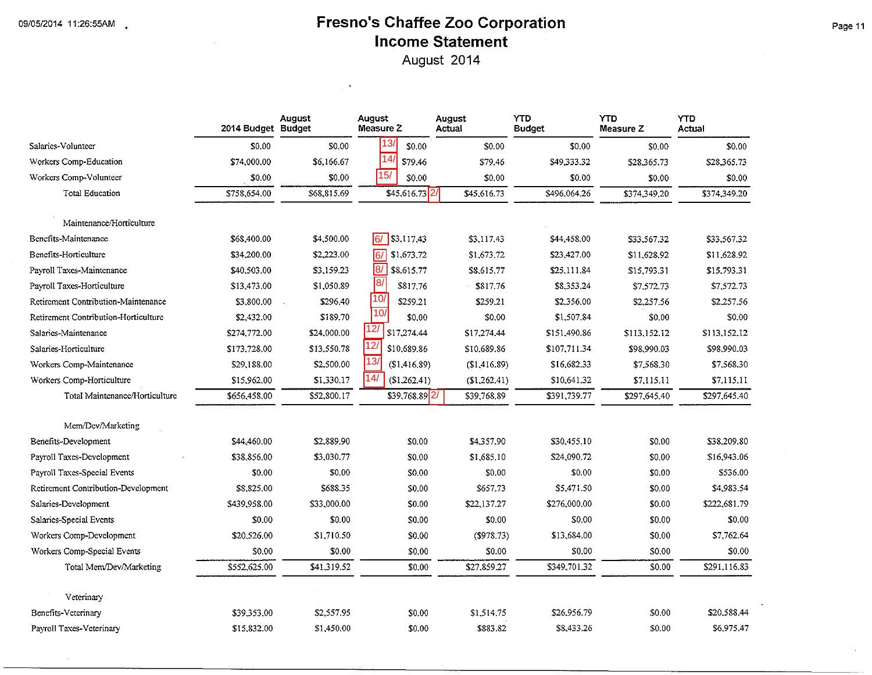#### **Fresno's Chaffee Zoo Corporation Income Statement**  August 2014

2014 Budget **Salaries-Volunteer** \$0.00 Workers Comp-Education **\$74,000.00** Workers Comp-Volunteer **\$0.00 Total Education** \$758.654.00 **Maintenance/Honi·culture Benefits-Maintenance \$68.400.00 Benefits-Horticulture \$34.200.00** Payroll Taxes-Maintenance **\$40.503.00** Payroll Taxes-Horticulture **\$13,473.00 Retirement Contribution-Maintenance** \$3,800.00 **Retirement Contribution-Horticulture** \$2.432.00 Salaries-Maintenance **\$274.772.00** Salaries-Horticulture **\$173.728.00 Workers Camp-Maintenance** \$29,188.00 Workers Comp-Horticulture **\$15.962.00** Total Maintenance/Horticulture **\$656.458.00 Mem/Dev/Marketing Benefits-Development \$44,460.00** Payroll Taxes-Development **\$38.856.00** Payroll Taxes-Special Events **\$0.00** Retirement Contribution-Development **\$8.825.00 Salaries-Development \$439.958.00 Salaries-Special Events \$0.00** Workers Comp-Development **\$20.526.00** Workers Comp-Special Events **\$0.00** Total Mem/Dev/Marketing **\$552.625.00 Veterinary Benefits-Veterinary \$39.353.00** Payroll Taxes-Veterinary **\$15.832.00 August August August** YTD **Measure Z**  $$0.00$   $\bigcup_{1 \to 1}$  \$0.00 \$0.00 \$0.00 **\$6.166.67 14/ \$79.46 \$79.46 \$49.333.32**  $$0.00$   $$0.00$   $$0.00$   $$0.00$  $$68.815.69$   $$45.616.73$   $2/$   $$45.616.73$   $$496.064.26$ **\$4,500.00** 6/ \$3,117.43 \$3,117.43 \$44,458.00  $$2,223.00$   $6/$  \$1.673.72 \$1.673.72 \$23,427.00  $$3,159.23$   $|8/|$  \$8,615.77 \$8,615.77 \$25,111.84 \$1,050.89 **8**<sup>1</sup> \$817.76 \$817.76 \$8.353.24  $$296.40$   $|10/$   $$259.21$   $$259.21$   $$2.356.00$  $$189.70$   $|100|$   $$0.00$   $$0.00$   $$1.507.84$  $$24,000.00$   $|12/$   $$17,274.44$   $$17,274.44$   $$151,490.86$  $$13.550.78$   $|12/$  \$10.689.86 \$10.689.86 \$107.711.34  $$2,500.00$   $|13/$  (\$1,416.89) (\$1,416.89) \$16,682.33  $$1,330.17$   $\overline{14}/$   $$1,262.41$   $$10,641.32$  $$52,800.17$   $$39,768.89$   $2/$   $$39,768.89$   $$391,739.77$ \$2,889.90 \$0,00 \$4,357.90 \$30,455.10 \$3,030.77 \$0.00 \$1,685.10 \$24,090.72  $$0.00$  \$0.00 \$0.00 \$0.00 \$0.00 \$688.35 \$0.00 \$657.73 \$5,471.50  $$33.000.00$   $$22.137.27$   $$276.000.00$  $$0.00$  \$0.00 \$0.00 \$0.00 \$0.00 \$1,710.50 \$0.00 (\$978.73) \$13,684.00  $$0.00$  \$0.00 \$0.00 \$0.00 \$0.00 \$41,319.52 \$0.00 \$27,859.27 \$349,701.32 \$2,557.95 \$0.00 \$1.514.75 \$26.956.79 \$1,450.00 \$0.00 \$883.82 \$8,433.26 **YTD** YTD<br>Measure Z Actual **Measure Z**  $$0.00$  \$0.00 \$28,365.73 \$28,365.73  $$0.00$  \$0.00 \$374,349.20 \$374,349.20 \$33,567.32 **\$33.567.32**  \$11,628.92 \$11,628.92 **\$15.793.31** \$15.793.31 \$7.572.73 **\$7,572.73**  \$2,257.56 \$2,257.56  $$0.00$  \$0.00 \$113.152.12 \$113.152.12  $$98,990.03$  \$98,990.03 \$7,568.30 \$7,568.30 \$7,115.11 \$7.115.11 \$297,645.40 \$297,645.40 \$0.00 \$38.209.80 \$0.00 \$16,943.06 \$0.00 \$536.00 \$0.00 **\$4,983.54**  \$0.00 \$222.681.79 \$0.00 \$0.00 \$0.00 \$7,762.64  $$0.00$  \$0.00 \$0.00 \$291.116.83 \$0.00 \$20,588.44 \$0.00 \$6.975.47 8/ 8/ 10/ 10/ 12/ 13/  $\begin{array}{r|l}\n 13/ \hline\n 14/ \hline\n 15/ \hline\n 54\n\end{array}\n \quad \begin{array}{r|l}\n 13/ \hline\n 54\n\end{array}\n \quad \begin{array}{r|l}\n 54/ \hline\n 8 & 5\n\end{array}\n \quad \begin{array}{r|l}\n 55/ \hline\n 8 & 5\n\end{array}\n \quad \begin{array}{r|l}\n 56/ \hline\n 10/ \hline\n 10/ \hline\n 11/ \hline\n 12/ \hline\n 51\n\end{array}\n \quad \begin{array}{r|l}\n 13/ \hline\n$  $\frac{2}{2}$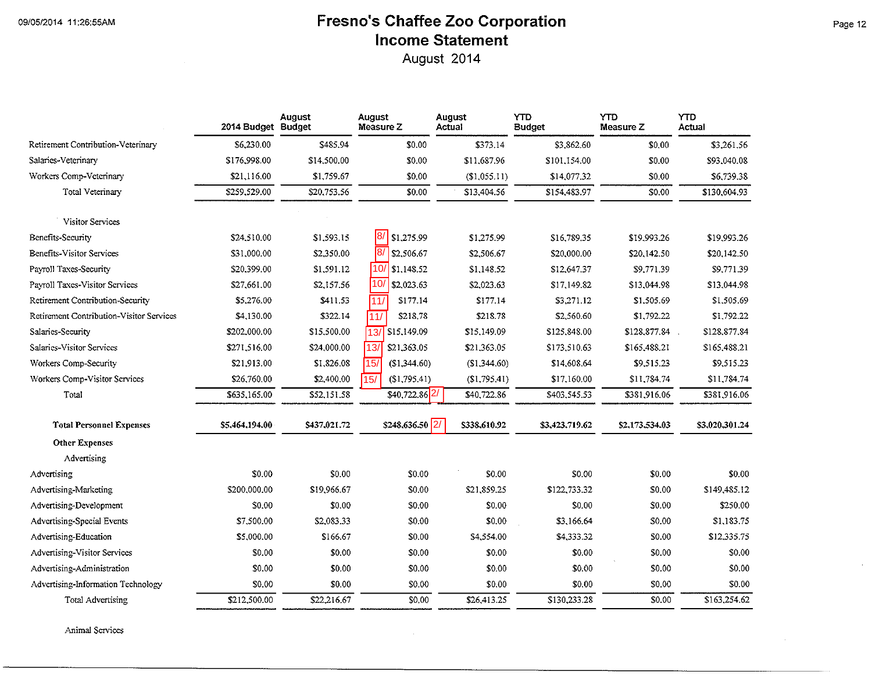## **Fresno's Chaffee Zoo Corporation Income Statement**

August 2014

|                                          | 2014 Budget Budget | August       | August<br>Measure Z      | August<br>Actual | <b>YTD</b><br><b>Budget</b> | YTD<br><b>Measure Z</b> | <b>YTD</b><br>Actual |
|------------------------------------------|--------------------|--------------|--------------------------|------------------|-----------------------------|-------------------------|----------------------|
| Retirement Contribution-Veterinary       | \$6,230.00         | \$485.94     | \$0.00                   | \$373.14         | \$3,862.60                  | \$0,00                  | \$3,261.56           |
| Salaries-Veterinary                      | \$176,998.00       | \$14,500.00  | \$0.00                   | \$11,687.96      | \$101,154.00                | \$0.00                  | \$93,040.08          |
| Workers Comp-Veterinary                  | \$21,116.00        | \$1,759.67   | \$0.00                   | (S1,055.11)      | \$14,077.32                 | \$0.00                  | \$6,739.38           |
| <b>Total Veterinary</b>                  | \$259,529.00       | \$20,753.56  | \$0.00                   | \$13,404.56      | \$154,483.97                | \$0.00                  | \$130,604.93         |
| Visitor Services                         |                    |              |                          |                  |                             |                         |                      |
| <b>Benefits-Security</b>                 | \$24,510.00        | \$1,593.15   | 8/ \$1,275.99            | \$1,275.99       | \$16,789.35                 | \$19,993.26             | \$19,993.26          |
| Benefits-Visitor Services                | \$31,000.00        | \$2,350.00   | 8/ \$2.506.67            | \$2,506.67       | \$20,000.00                 | \$20,142.50             | \$20,142.50          |
| Payroll Taxes-Security                   | \$20,399.00        | \$1,591.12   | $10/$ \$1,148.52         | \$1,148.52       | \$12,647.37                 | \$9,771.39              | \$9,771.39           |
| Payroll Taxes-Visitor Services           | \$27,661.00        | \$2,157.56   | 10/<br>\$2,023.63        | \$2,023.63       | \$17,149.82                 | \$13,044.98             | \$13,044.98          |
| Retirement Contribution-Security         | \$5,276.00         | \$411.53     | \$177.14<br>111/         | \$177.14         | \$3,271.12                  | \$1,505.69              | \$1,505.69           |
| Retirement Contribution-Visitor Services | \$4,130.00         | \$322.14     | \$218.78<br>11/          | \$218.78         | \$2,560.60                  | \$1,792.22              | \$1,792.22           |
| Salaries-Security                        | \$202,000.00       | \$15,500.00  | \$15,149.09<br>13/       | \$15,149.09      | \$125,848.00                | \$128,877.84            | \$128,877.84         |
| Salaries-Visitor Services                | \$271,516.00       | \$24,000.00  | 13/<br>\$21,363.05       | \$21,363.05      | \$173,510.63                | \$165,488.21            | \$165,488.21         |
| Workers Comp-Security                    | \$21,913.00        | \$1,826.08   | 15/<br>(\$1,344.60)      | (S1,344.60)      | \$14,608.64                 | \$9,515.23              | \$9,515.23           |
| Workers Comp-Visitor Services            | \$26,760.00        | \$2,400.00   | (\$1,795.41)<br>15/      | (S1, 795.41)     | \$17,160.00                 | \$11,784.74             | \$11,784,74          |
| Total                                    | \$635,165.00       | \$52,151.58  | \$40,722.86 2/           | \$40,722.86      | \$403,545.53                | \$381,916.06            | \$381,916.06         |
| <b>Total Personnel Expenses</b>          | \$5,464,194.00     | \$437,021.72 | \$248,636.50 $\sqrt{2/}$ | \$338,610.92     | \$3,423,719.62              | \$2,173,534.03          | \$3,020.301.24       |
| <b>Other Expenses</b>                    |                    |              |                          |                  |                             |                         |                      |
| Advertising                              |                    |              |                          |                  |                             |                         |                      |
| Advertising                              | \$0.00             | \$0.00       | \$0.00                   | \$0.00           | \$0.00                      | \$0.00                  | \$0.00               |
| Advertising-Marketing                    | \$200,000.00       | \$19,966.67  | \$0.00                   | \$21,859,25      | \$122,733.32                | \$0.00                  | \$149,485.12         |
| Advertising-Development                  | \$0.00             | \$0.00       | \$0.00                   | \$0.00           | \$0.00                      | \$0.00                  | \$250.00             |
| Advertising-Special Events               | \$7,500.00         | \$2,083.33   | \$0.00                   | \$0.00           | \$3,166.64                  | \$0.00                  | \$1,183.75           |
| Advertising-Education                    | \$5,000.00         | \$166.67     | \$0.00                   | \$4,554.00       | \$4,333.32                  | \$0.00                  | \$12,335.75          |
| Advertising-Visitor Services             | \$0.00             | \$0.00       | \$0.00                   | \$0.00           | \$0.00                      | \$0.00                  | \$0.00               |
| Advertising-Administration               | \$0.00             | \$0.00       | \$0.00                   | \$0.00           | \$0.00                      | \$0.00                  | \$0.00               |
| Advertising-Information Technology       | \$0.00             | \$0.00       | \$0.00                   | \$0.00           | \$0.00                      | \$0.00                  | \$0.00               |
| Total Advertising                        | \$212,500.00       | \$22,216.67  | \$0.00                   | \$26,413.25      | \$130,233.28                | \$0.00                  | \$163,254.62         |

**Animal Setvices** 

 $\mathbf{a}$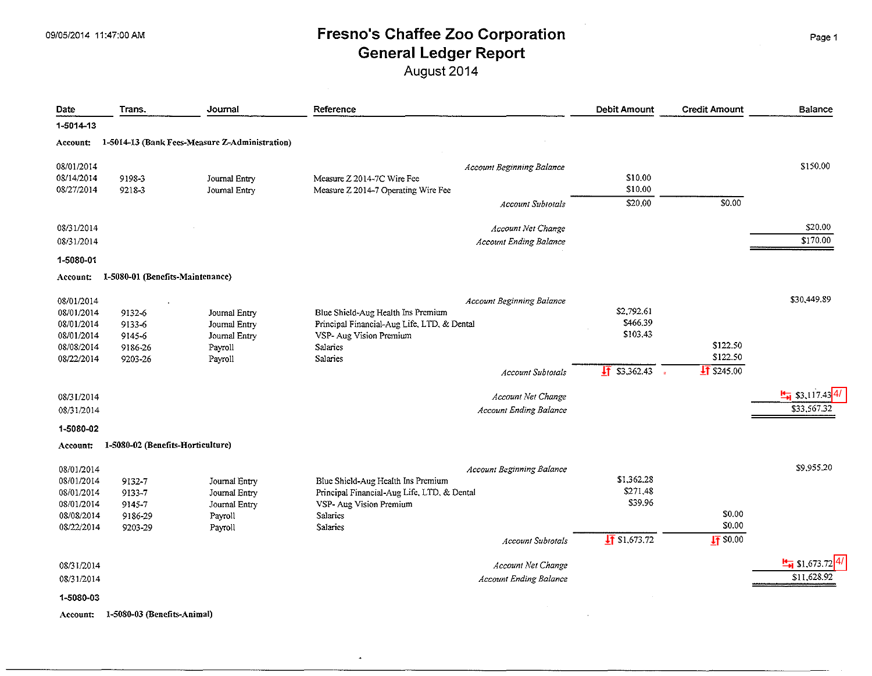August 2014

| Date       | Trans.                            | Journal                                        | Reference                                   | <b>Debit Amount</b>      | <b>Credit Amount</b> | Balance                               |
|------------|-----------------------------------|------------------------------------------------|---------------------------------------------|--------------------------|----------------------|---------------------------------------|
| 1-5014-13  |                                   |                                                |                                             |                          |                      |                                       |
| Account:   |                                   | 1-5014-13 (Bank Fees-Measure Z-Administration) |                                             |                          |                      |                                       |
| 08/01/2014 |                                   |                                                | <b>Account Beginning Balance</b>            |                          |                      | \$150.00                              |
| 08/14/2014 | 9198-3                            | Journal Entry                                  | Measure Z 2014-7C Wire Fee                  | \$10.00                  |                      |                                       |
| 08/27/2014 | 9218-3                            | Journal Entry                                  | Measure Z 2014-7 Operating Wire Fee         | \$10.00                  |                      |                                       |
|            |                                   |                                                | <b>Account Subtotals</b>                    | \$20.00                  | 50.00                |                                       |
| 08/31/2014 |                                   |                                                | Account Net Change                          |                          |                      | \$20.00                               |
| 08/31/2014 |                                   |                                                | <b>Account Ending Balance</b>               |                          |                      | \$170.00                              |
| 1-5080-01  |                                   |                                                |                                             |                          |                      |                                       |
| Account:   | 1-5080-01 (Benefits-Maintenance)  |                                                |                                             |                          |                      |                                       |
| 08/01/2014 |                                   |                                                | Account Beginning Balance                   |                          |                      | \$30,449.89                           |
| 08/01/2014 | 9132-6                            | Journal Entry                                  | Blue Shield-Aug Health Ins Premium          | \$2,792.61               |                      |                                       |
| 08/01/2014 | 9133-6                            | Journal Entry                                  | Principal Financial-Aug Life, LTD, & Dental | \$466.39                 |                      |                                       |
| 08/01/2014 | 9145-6                            | Journal Entry                                  | VSP- Aug Vision Premium                     | \$103.43                 |                      |                                       |
| 08/08/2014 | 9186-26                           | Payroll                                        | Salaries                                    |                          | \$122.50             |                                       |
| 08/22/2014 | 9203-26                           | Payroll                                        | Salaries                                    |                          | \$122.50             |                                       |
|            |                                   |                                                | <b>Account Subtotals</b>                    | $\sqrt{11}$ \$3,362.43   | $\sqrt{11}$ \$245.00 |                                       |
| 08/31/2014 |                                   |                                                | Account Net Change                          |                          |                      | $\frac{1}{2}$ \$3,117.43 <sup>4</sup> |
| 08/31/2014 |                                   |                                                | <b>Account Ending Balance</b>               |                          |                      | \$33,567.32                           |
| 1-5080-02  |                                   |                                                |                                             |                          |                      |                                       |
| Account:   | 1-5080-02 (Benefits-Horticulture) |                                                |                                             |                          |                      |                                       |
| 08/01/2014 |                                   |                                                | Account Beginning Balance                   |                          |                      | \$9,955.20                            |
| 08/01/2014 | 9132-7                            | Journal Entry                                  | Blue Shield-Aug Health Ins Premium          | \$1,362.28               |                      |                                       |
| 08/01/2014 | 9133-7                            | Journal Entry                                  | Principal Financial-Aug Life, LTD, & Dental | \$271.48                 |                      |                                       |
| 08/01/2014 | 9145-7                            | Journal Entry                                  | VSP- Aug Vision Premium                     | \$39.96                  |                      |                                       |
| 08/08/2014 | 9186-29                           | Payroll                                        | Salaries                                    |                          | \$0.00               |                                       |
| 08/22/2014 | 9203-29                           | Payroll                                        | Salaries                                    |                          | \$0.00               |                                       |
|            |                                   |                                                | <b>Account Subtotals</b>                    | $\frac{1}{2}$ \$1,673.72 | $\sqrt{11}$ \$0.00   |                                       |
| 08/31/2014 |                                   |                                                | Account Net Change                          |                          |                      | $\frac{H}{H}$ \$1,673.72 4            |
| 08/31/2014 |                                   |                                                | <b>Account Ending Balance</b>               |                          |                      | \$11,628.92                           |
| 1-5080-03  |                                   |                                                |                                             |                          |                      |                                       |
| Account:   | 1-5080-03 (Benefits-Animal)       |                                                |                                             |                          |                      |                                       |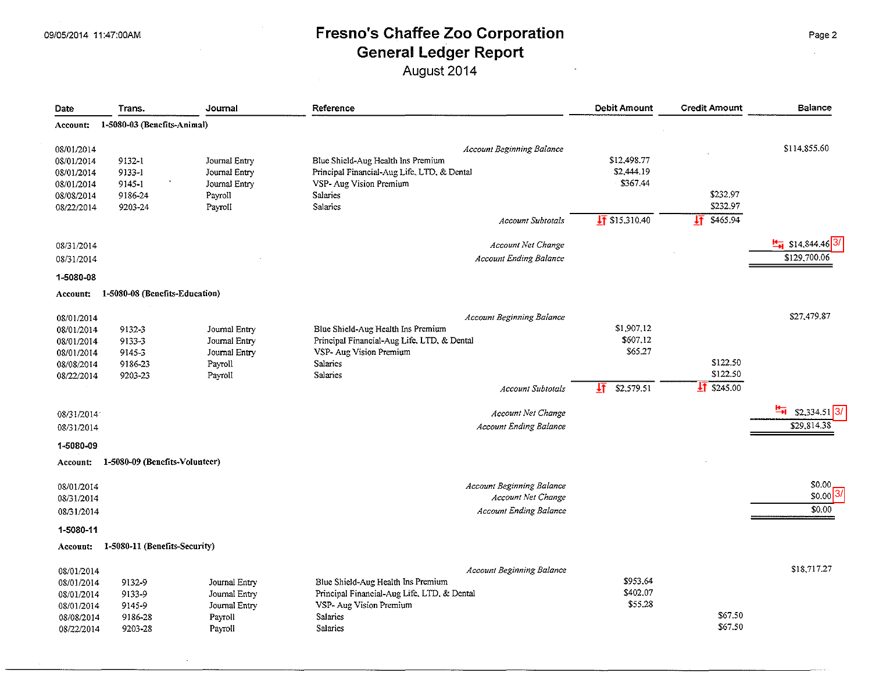August 2014

| Date       | Trans.                         | Journal       | Reference                                   | <b>Debit Amount</b>     | <b>Credit Amount</b> | <b>Balance</b>               |
|------------|--------------------------------|---------------|---------------------------------------------|-------------------------|----------------------|------------------------------|
| Account:   | 1-5080-03 (Benefits-Animal)    |               |                                             |                         |                      |                              |
| 08/01/2014 |                                |               | <b>Account Beginning Balance</b>            |                         |                      | \$114,855.60                 |
| 08/01/2014 | 9132-1                         | Journal Entry | Blue Shield-Aug Health Ins Premium          | \$12,498.77             |                      |                              |
| 08/01/2014 | 9133-1                         | Journal Entry | Principal Financial-Aug Life, LTD, & Dental | \$2,444.19              |                      |                              |
| 08/01/2014 | 9145-1                         | Journal Entry | VSP- Aug Vision Premium                     | \$367.44                |                      |                              |
| 08/08/2014 | 9186-24                        | Payroll       | Salaries                                    |                         | \$232.97             |                              |
| 08/22/2014 | 9203-24                        | Payroll       | Salaries                                    |                         | \$232.97             |                              |
|            |                                |               | <b>Account Subtotals</b>                    | $\sqrt{11}$ \$15,310.40 | \$465.94<br>圷        |                              |
| 08/31/2014 |                                |               | <b>Account Net Change</b>                   |                         |                      | $\frac{H}{H}$ \$14,844.46 3/ |
| 08/31/2014 |                                |               | <b>Account Ending Balance</b>               |                         |                      | \$129,700.06                 |
| 1-5080-08  |                                |               |                                             |                         |                      |                              |
| Account:   | 1-5080-08 (Benefits-Education) |               |                                             |                         |                      |                              |
| 08/01/2014 |                                |               | Account Beginning Balance                   |                         |                      | \$27,479.87                  |
| 08/01/2014 | 9132-3                         | Journal Entry | Blue Shield-Aug Health Ins Premium          | \$1,907,12              |                      |                              |
| 08/01/2014 | 9133-3                         | Journal Entry | Principal Financial-Aug Life, LTD, & Dental | \$607.12                |                      |                              |
| 08/01/2014 | 9145-3                         | Journal Entry | VSP- Aug Vision Premium                     | \$65.27                 |                      |                              |
| 08/08/2014 | 9186-23                        | Payroll       | Salaries                                    |                         | \$122.50             |                              |
| 08/22/2014 | 9203-23                        | Payroll       | Salaries                                    |                         | \$122.50             |                              |
|            |                                |               | <b>Account Subtotals</b>                    | 圷<br>\$2,579.51         | $11$ \$245.00        |                              |
| 08/31/2014 |                                |               | Account Net Change                          |                         |                      | ዀ<br>$$2,334.51$ 3/          |
| 08/31/2014 |                                |               | <b>Account Ending Balance</b>               |                         |                      | \$29,814.38                  |
| 1-5080-09  |                                |               |                                             |                         |                      |                              |
| Account:   | 1-5080-09 (Benefits-Volunteer) |               |                                             |                         |                      |                              |
| 08/01/2014 |                                |               | <b>Account Beginning Balance</b>            |                         |                      | \$0.00                       |
| 08/31/2014 |                                |               | <b>Account Net Change</b>                   |                         |                      | $$0.00$ 3/                   |
| 08/31/2014 |                                |               | <b>Account Ending Balance</b>               |                         |                      | \$0.00                       |
| 1-5080-11  |                                |               |                                             |                         |                      |                              |
| Account:   | 1-5080-11 (Benefits-Security)  |               |                                             |                         |                      |                              |
| 08/01/2014 |                                |               | Account Beginning Balance                   |                         |                      | \$18,717.27                  |
| 08/01/2014 | 9132-9                         | Journal Entry | Blue Shield-Aug Health Ins Premium          | \$953.64                |                      |                              |
| 08/01/2014 | 9133-9                         | Journal Entry | Principal Financial-Aug Life, LTD, & Dental | \$402.07                |                      |                              |
| 08/01/2014 | 9145-9                         | Journal Entry | VSP- Aug Vision Premium                     | \$55.28                 |                      |                              |
| 08/08/2014 | 9186-28                        | Payroll       | Salaries                                    |                         | \$67.50              |                              |
| 08/22/2014 | 9203-28                        | Payroll       | <b>Salaries</b>                             |                         | \$67.50              |                              |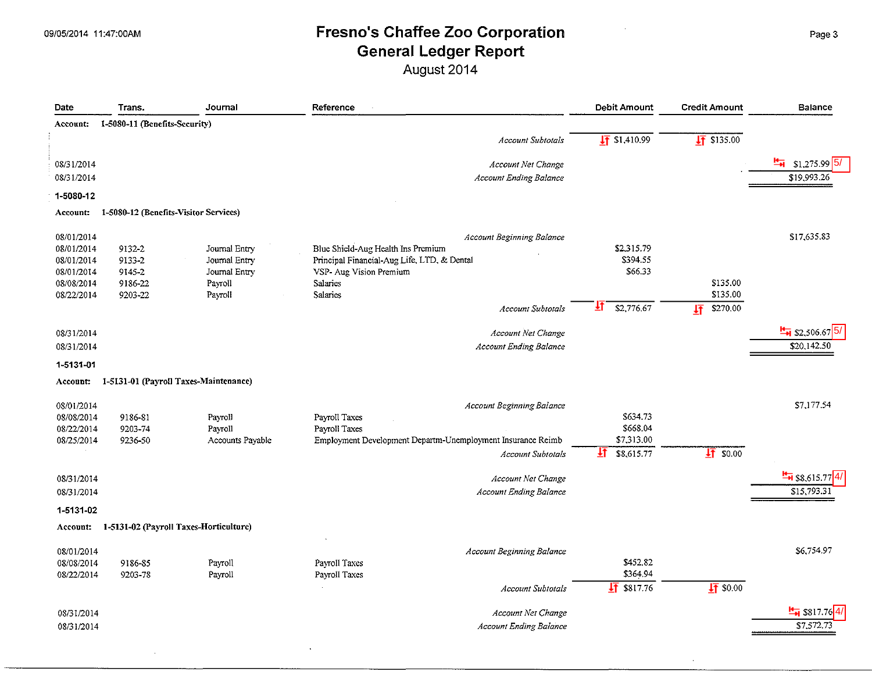August 2014

| 1-5080-11 (Benefits-Security)<br>Account:<br>$\sqrt{11}$ \$1.410.99<br>$\frac{1}{21}$ \$135.00<br><b>Account Subtotals</b><br>$\frac{H}{H}$ \$1,275.99 5/<br>08/31/2014<br>Account Net Change<br>\$19,993.26<br>08/31/2014<br><b>Account Ending Balance</b><br>1-5080-12<br>1-5080-12 (Benefits-Visitor Services)<br>Account:<br>\$17,635.83<br>08/01/2014<br><b>Account Beginning Balance</b><br>08/01/2014<br>Blue Shield-Aug Health Ins Premium<br>\$2,315.79<br>9132-2<br>Journal Entry<br>\$394.55<br>08/01/2014<br>Principal Financial-Aug Life, LTD, & Dental<br>9133-2<br>Journal Entry<br>\$66.33<br>08/01/2014<br>VSP- Aug Vision Premium<br>9145-2<br>Journal Entry<br>\$135.00<br>08/08/2014<br>Salaries<br>9186-22<br>Payroll<br>\$135.00<br>08/22/2014<br>Payroll<br>Salaries<br>9203-22<br>\$2,776.67<br>ŦI.<br>\$270,00<br>圩<br>Account Subtotals<br>$\frac{H}{H}$ \$2,506.67 5/<br>08/31/2014<br><b>Account Net Change</b><br><b>Account Ending Balance</b><br>\$20,142.50<br>08/31/2014<br>1-5131-01<br>1-5131-01 (Payroll Taxes-Maintenance)<br>Account:<br>\$7,177.54<br>08/01/2014<br>Account Beginning Balance<br>\$634.73<br>08/08/2014<br>Payroll Taxes<br>9186-81<br>Payroll<br>\$668.04<br>08/22/2014<br>Payroll Taxes<br>9203-74<br>Payroll<br>\$7,313.00<br>08/25/2014<br>Accounts Payable<br>Employment Development Departm-Unemployment Insurance Reimb<br>9236-50<br>坘<br>$\sqrt{4}$ \$0.00<br>\$8,615.77<br><b>Account Subtotals</b><br>$\frac{H}{14}$ \$8,615.77 4/<br>Account Net Change<br>08/31/2014<br>Account Ending Balance<br>08/31/2014<br>\$15,793.31<br>1-5131-02<br>1-5131-02 (Payroll Taxes-Horticulture)<br>Account:<br>\$6,754.97<br>08/01/2014<br><b>Account Beginning Balance</b><br>\$452,82<br>08/08/2014<br>Payroll<br>Payroll Taxes<br>9186-85<br>\$364,94<br>08/22/2014<br>9203-78<br>Payroll Taxes<br>Payroll<br>$\frac{1}{21}$ \$817.76<br>$17$ \$0.00<br><b>Account Subtorals</b><br>$\frac{H}{H}$ \$817.76 4/<br>Account Net Change<br>08/31/2014 | Date       | Trans. | Journal | Reference                     | Debit Amount | <b>Credit Amount</b> | Balance    |
|-------------------------------------------------------------------------------------------------------------------------------------------------------------------------------------------------------------------------------------------------------------------------------------------------------------------------------------------------------------------------------------------------------------------------------------------------------------------------------------------------------------------------------------------------------------------------------------------------------------------------------------------------------------------------------------------------------------------------------------------------------------------------------------------------------------------------------------------------------------------------------------------------------------------------------------------------------------------------------------------------------------------------------------------------------------------------------------------------------------------------------------------------------------------------------------------------------------------------------------------------------------------------------------------------------------------------------------------------------------------------------------------------------------------------------------------------------------------------------------------------------------------------------------------------------------------------------------------------------------------------------------------------------------------------------------------------------------------------------------------------------------------------------------------------------------------------------------------------------------------------------------------------------------------------------------------------------------------------------------------------------------|------------|--------|---------|-------------------------------|--------------|----------------------|------------|
|                                                                                                                                                                                                                                                                                                                                                                                                                                                                                                                                                                                                                                                                                                                                                                                                                                                                                                                                                                                                                                                                                                                                                                                                                                                                                                                                                                                                                                                                                                                                                                                                                                                                                                                                                                                                                                                                                                                                                                                                             |            |        |         |                               |              |                      |            |
|                                                                                                                                                                                                                                                                                                                                                                                                                                                                                                                                                                                                                                                                                                                                                                                                                                                                                                                                                                                                                                                                                                                                                                                                                                                                                                                                                                                                                                                                                                                                                                                                                                                                                                                                                                                                                                                                                                                                                                                                             |            |        |         |                               |              |                      |            |
|                                                                                                                                                                                                                                                                                                                                                                                                                                                                                                                                                                                                                                                                                                                                                                                                                                                                                                                                                                                                                                                                                                                                                                                                                                                                                                                                                                                                                                                                                                                                                                                                                                                                                                                                                                                                                                                                                                                                                                                                             |            |        |         |                               |              |                      |            |
|                                                                                                                                                                                                                                                                                                                                                                                                                                                                                                                                                                                                                                                                                                                                                                                                                                                                                                                                                                                                                                                                                                                                                                                                                                                                                                                                                                                                                                                                                                                                                                                                                                                                                                                                                                                                                                                                                                                                                                                                             |            |        |         |                               |              |                      |            |
|                                                                                                                                                                                                                                                                                                                                                                                                                                                                                                                                                                                                                                                                                                                                                                                                                                                                                                                                                                                                                                                                                                                                                                                                                                                                                                                                                                                                                                                                                                                                                                                                                                                                                                                                                                                                                                                                                                                                                                                                             |            |        |         |                               |              |                      |            |
|                                                                                                                                                                                                                                                                                                                                                                                                                                                                                                                                                                                                                                                                                                                                                                                                                                                                                                                                                                                                                                                                                                                                                                                                                                                                                                                                                                                                                                                                                                                                                                                                                                                                                                                                                                                                                                                                                                                                                                                                             |            |        |         |                               |              |                      |            |
|                                                                                                                                                                                                                                                                                                                                                                                                                                                                                                                                                                                                                                                                                                                                                                                                                                                                                                                                                                                                                                                                                                                                                                                                                                                                                                                                                                                                                                                                                                                                                                                                                                                                                                                                                                                                                                                                                                                                                                                                             |            |        |         |                               |              |                      |            |
|                                                                                                                                                                                                                                                                                                                                                                                                                                                                                                                                                                                                                                                                                                                                                                                                                                                                                                                                                                                                                                                                                                                                                                                                                                                                                                                                                                                                                                                                                                                                                                                                                                                                                                                                                                                                                                                                                                                                                                                                             |            |        |         |                               |              |                      |            |
|                                                                                                                                                                                                                                                                                                                                                                                                                                                                                                                                                                                                                                                                                                                                                                                                                                                                                                                                                                                                                                                                                                                                                                                                                                                                                                                                                                                                                                                                                                                                                                                                                                                                                                                                                                                                                                                                                                                                                                                                             |            |        |         |                               |              |                      |            |
|                                                                                                                                                                                                                                                                                                                                                                                                                                                                                                                                                                                                                                                                                                                                                                                                                                                                                                                                                                                                                                                                                                                                                                                                                                                                                                                                                                                                                                                                                                                                                                                                                                                                                                                                                                                                                                                                                                                                                                                                             |            |        |         |                               |              |                      |            |
|                                                                                                                                                                                                                                                                                                                                                                                                                                                                                                                                                                                                                                                                                                                                                                                                                                                                                                                                                                                                                                                                                                                                                                                                                                                                                                                                                                                                                                                                                                                                                                                                                                                                                                                                                                                                                                                                                                                                                                                                             |            |        |         |                               |              |                      |            |
|                                                                                                                                                                                                                                                                                                                                                                                                                                                                                                                                                                                                                                                                                                                                                                                                                                                                                                                                                                                                                                                                                                                                                                                                                                                                                                                                                                                                                                                                                                                                                                                                                                                                                                                                                                                                                                                                                                                                                                                                             |            |        |         |                               |              |                      |            |
|                                                                                                                                                                                                                                                                                                                                                                                                                                                                                                                                                                                                                                                                                                                                                                                                                                                                                                                                                                                                                                                                                                                                                                                                                                                                                                                                                                                                                                                                                                                                                                                                                                                                                                                                                                                                                                                                                                                                                                                                             |            |        |         |                               |              |                      |            |
|                                                                                                                                                                                                                                                                                                                                                                                                                                                                                                                                                                                                                                                                                                                                                                                                                                                                                                                                                                                                                                                                                                                                                                                                                                                                                                                                                                                                                                                                                                                                                                                                                                                                                                                                                                                                                                                                                                                                                                                                             |            |        |         |                               |              |                      |            |
|                                                                                                                                                                                                                                                                                                                                                                                                                                                                                                                                                                                                                                                                                                                                                                                                                                                                                                                                                                                                                                                                                                                                                                                                                                                                                                                                                                                                                                                                                                                                                                                                                                                                                                                                                                                                                                                                                                                                                                                                             |            |        |         |                               |              |                      |            |
|                                                                                                                                                                                                                                                                                                                                                                                                                                                                                                                                                                                                                                                                                                                                                                                                                                                                                                                                                                                                                                                                                                                                                                                                                                                                                                                                                                                                                                                                                                                                                                                                                                                                                                                                                                                                                                                                                                                                                                                                             |            |        |         |                               |              |                      |            |
|                                                                                                                                                                                                                                                                                                                                                                                                                                                                                                                                                                                                                                                                                                                                                                                                                                                                                                                                                                                                                                                                                                                                                                                                                                                                                                                                                                                                                                                                                                                                                                                                                                                                                                                                                                                                                                                                                                                                                                                                             |            |        |         |                               |              |                      |            |
|                                                                                                                                                                                                                                                                                                                                                                                                                                                                                                                                                                                                                                                                                                                                                                                                                                                                                                                                                                                                                                                                                                                                                                                                                                                                                                                                                                                                                                                                                                                                                                                                                                                                                                                                                                                                                                                                                                                                                                                                             |            |        |         |                               |              |                      |            |
|                                                                                                                                                                                                                                                                                                                                                                                                                                                                                                                                                                                                                                                                                                                                                                                                                                                                                                                                                                                                                                                                                                                                                                                                                                                                                                                                                                                                                                                                                                                                                                                                                                                                                                                                                                                                                                                                                                                                                                                                             |            |        |         |                               |              |                      |            |
|                                                                                                                                                                                                                                                                                                                                                                                                                                                                                                                                                                                                                                                                                                                                                                                                                                                                                                                                                                                                                                                                                                                                                                                                                                                                                                                                                                                                                                                                                                                                                                                                                                                                                                                                                                                                                                                                                                                                                                                                             |            |        |         |                               |              |                      |            |
|                                                                                                                                                                                                                                                                                                                                                                                                                                                                                                                                                                                                                                                                                                                                                                                                                                                                                                                                                                                                                                                                                                                                                                                                                                                                                                                                                                                                                                                                                                                                                                                                                                                                                                                                                                                                                                                                                                                                                                                                             |            |        |         |                               |              |                      |            |
|                                                                                                                                                                                                                                                                                                                                                                                                                                                                                                                                                                                                                                                                                                                                                                                                                                                                                                                                                                                                                                                                                                                                                                                                                                                                                                                                                                                                                                                                                                                                                                                                                                                                                                                                                                                                                                                                                                                                                                                                             |            |        |         |                               |              |                      |            |
|                                                                                                                                                                                                                                                                                                                                                                                                                                                                                                                                                                                                                                                                                                                                                                                                                                                                                                                                                                                                                                                                                                                                                                                                                                                                                                                                                                                                                                                                                                                                                                                                                                                                                                                                                                                                                                                                                                                                                                                                             |            |        |         |                               |              |                      |            |
|                                                                                                                                                                                                                                                                                                                                                                                                                                                                                                                                                                                                                                                                                                                                                                                                                                                                                                                                                                                                                                                                                                                                                                                                                                                                                                                                                                                                                                                                                                                                                                                                                                                                                                                                                                                                                                                                                                                                                                                                             |            |        |         |                               |              |                      |            |
|                                                                                                                                                                                                                                                                                                                                                                                                                                                                                                                                                                                                                                                                                                                                                                                                                                                                                                                                                                                                                                                                                                                                                                                                                                                                                                                                                                                                                                                                                                                                                                                                                                                                                                                                                                                                                                                                                                                                                                                                             |            |        |         |                               |              |                      |            |
|                                                                                                                                                                                                                                                                                                                                                                                                                                                                                                                                                                                                                                                                                                                                                                                                                                                                                                                                                                                                                                                                                                                                                                                                                                                                                                                                                                                                                                                                                                                                                                                                                                                                                                                                                                                                                                                                                                                                                                                                             |            |        |         |                               |              |                      |            |
|                                                                                                                                                                                                                                                                                                                                                                                                                                                                                                                                                                                                                                                                                                                                                                                                                                                                                                                                                                                                                                                                                                                                                                                                                                                                                                                                                                                                                                                                                                                                                                                                                                                                                                                                                                                                                                                                                                                                                                                                             |            |        |         |                               |              |                      |            |
|                                                                                                                                                                                                                                                                                                                                                                                                                                                                                                                                                                                                                                                                                                                                                                                                                                                                                                                                                                                                                                                                                                                                                                                                                                                                                                                                                                                                                                                                                                                                                                                                                                                                                                                                                                                                                                                                                                                                                                                                             |            |        |         |                               |              |                      |            |
|                                                                                                                                                                                                                                                                                                                                                                                                                                                                                                                                                                                                                                                                                                                                                                                                                                                                                                                                                                                                                                                                                                                                                                                                                                                                                                                                                                                                                                                                                                                                                                                                                                                                                                                                                                                                                                                                                                                                                                                                             |            |        |         |                               |              |                      |            |
|                                                                                                                                                                                                                                                                                                                                                                                                                                                                                                                                                                                                                                                                                                                                                                                                                                                                                                                                                                                                                                                                                                                                                                                                                                                                                                                                                                                                                                                                                                                                                                                                                                                                                                                                                                                                                                                                                                                                                                                                             |            |        |         |                               |              |                      |            |
|                                                                                                                                                                                                                                                                                                                                                                                                                                                                                                                                                                                                                                                                                                                                                                                                                                                                                                                                                                                                                                                                                                                                                                                                                                                                                                                                                                                                                                                                                                                                                                                                                                                                                                                                                                                                                                                                                                                                                                                                             |            |        |         |                               |              |                      |            |
|                                                                                                                                                                                                                                                                                                                                                                                                                                                                                                                                                                                                                                                                                                                                                                                                                                                                                                                                                                                                                                                                                                                                                                                                                                                                                                                                                                                                                                                                                                                                                                                                                                                                                                                                                                                                                                                                                                                                                                                                             |            |        |         |                               |              |                      |            |
|                                                                                                                                                                                                                                                                                                                                                                                                                                                                                                                                                                                                                                                                                                                                                                                                                                                                                                                                                                                                                                                                                                                                                                                                                                                                                                                                                                                                                                                                                                                                                                                                                                                                                                                                                                                                                                                                                                                                                                                                             |            |        |         |                               |              |                      |            |
|                                                                                                                                                                                                                                                                                                                                                                                                                                                                                                                                                                                                                                                                                                                                                                                                                                                                                                                                                                                                                                                                                                                                                                                                                                                                                                                                                                                                                                                                                                                                                                                                                                                                                                                                                                                                                                                                                                                                                                                                             |            |        |         |                               |              |                      |            |
|                                                                                                                                                                                                                                                                                                                                                                                                                                                                                                                                                                                                                                                                                                                                                                                                                                                                                                                                                                                                                                                                                                                                                                                                                                                                                                                                                                                                                                                                                                                                                                                                                                                                                                                                                                                                                                                                                                                                                                                                             | 08/31/2014 |        |         | <b>Account Ending Balance</b> |              |                      | \$7,572.73 |

 $\epsilon$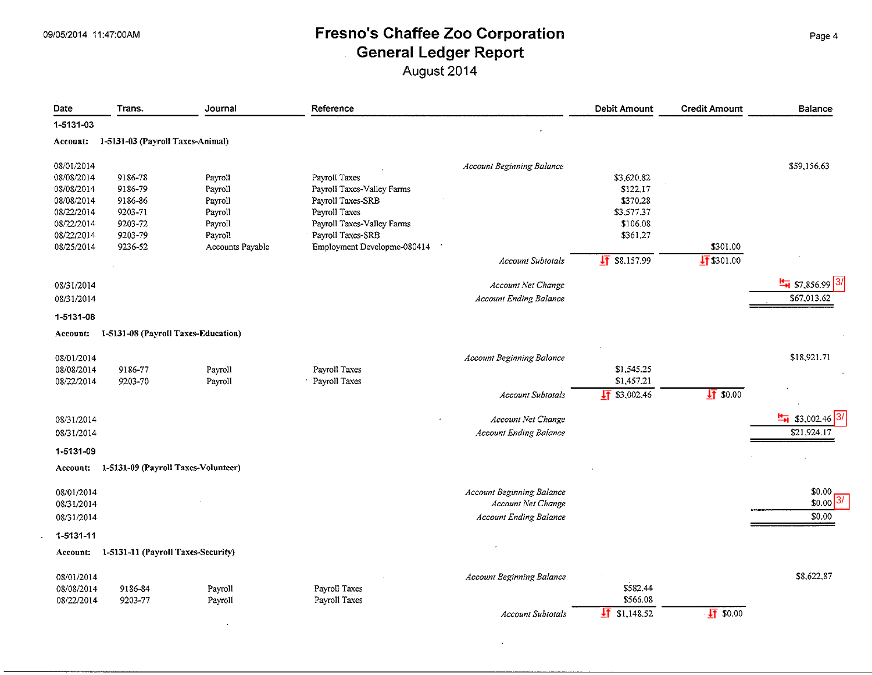$\sim$ 

 $\Delta \sim 10^4$ 

### 09/05/2014 11:47:00AM **Fresno's Chaffee Zoo Corporation** Page4 **General Ledger Report**  August 2014

| Date       | Trans.                              | Journal          | Reference                   |                                  | <b>Debit Amount</b>    | <b>Credit Amount</b>    | <b>Balance</b>               |
|------------|-------------------------------------|------------------|-----------------------------|----------------------------------|------------------------|-------------------------|------------------------------|
| 1-5131-03  |                                     |                  |                             |                                  |                        |                         |                              |
| Account:   | 1-5131-03 (Payroll Taxes-Animal)    |                  |                             |                                  |                        |                         |                              |
| 08/01/2014 |                                     |                  |                             | <b>Account Beginning Balance</b> |                        |                         | \$59,156.63                  |
| 08/08/2014 | 9186-78                             | Payroll          | Payroll Taxes               |                                  | \$3,620.82             |                         |                              |
| 08/08/2014 | 9186-79                             | Payroll          | Payroll Taxes-Valley Farms  |                                  | \$122.17               |                         |                              |
| 08/08/2014 | 9186-86                             | Payroll          | Payroll Taxes-SRB           |                                  | \$370.28               |                         |                              |
| 08/22/2014 | 9203-71                             | Payroll          | Payroll Taxes               |                                  | \$3,577.37             |                         |                              |
| 08/22/2014 | 9203-72                             | Payroll          | Payroll Taxes-Valley Farms  |                                  | \$106.08               |                         |                              |
| 08/22/2014 | 9203-79                             | Payroll          | Payroll Taxes-SRB           |                                  | \$361.27               |                         |                              |
| 08/25/2014 | 9236-52                             | Accounts Payable | Employment Developme-080414 |                                  |                        | \$301.00                |                              |
|            |                                     |                  |                             | <b>Account Subtotals</b>         | $\sqrt{11}$ \$8,157.99 | $\frac{1}{11}$ \$301.00 |                              |
| 08/31/2014 |                                     |                  |                             | Account Net Change               |                        |                         | $\frac{H}{14}$ \$7,856.99 3/ |
| 08/31/2014 |                                     |                  |                             | <b>Account Ending Balance</b>    |                        |                         | \$67,013.62                  |
| 1-5131-08  |                                     |                  |                             |                                  |                        |                         |                              |
| Account:   | 1-5131-08 (Payroll Taxes-Education) |                  |                             |                                  |                        |                         |                              |
| 08/01/2014 |                                     |                  |                             | <b>Account Beginning Balance</b> |                        |                         | \$18,921.71                  |
| 08/08/2014 | 9186-77                             | Payroll          | Payroll Taxes               |                                  | \$1,545.25             |                         |                              |
| 08/22/2014 | 9203-70                             | Payroll          | Payroll Taxes               |                                  | \$1,457.21             |                         |                              |
|            |                                     |                  |                             | <b>Account Subtotals</b>         | $\sqrt{11}$ \$3,002.46 | $\frac{1}{21}$ \$0.00   |                              |
| 08/31/2014 |                                     |                  |                             | Account Net Change               |                        |                         | \$3,002.46                   |
| 08/31/2014 |                                     |                  |                             | <b>Account Ending Balance</b>    |                        |                         | \$21,924.17                  |
| 1-5131-09  |                                     |                  |                             |                                  |                        |                         |                              |
| Account:   | 1-5131-09 (Payroll Taxes-Volunteer) |                  |                             |                                  |                        |                         |                              |
|            |                                     |                  |                             |                                  |                        |                         |                              |
| 08/01/2014 |                                     |                  |                             | Account Beginning Balance        |                        |                         | \$0.00                       |
| 08/31/2014 |                                     |                  |                             | Account Net Change               |                        |                         | \$0.00                       |
| 08/31/2014 |                                     |                  |                             | <b>Account Ending Balance</b>    |                        |                         | \$0.00                       |
| 1-5131-11  |                                     |                  |                             |                                  |                        |                         |                              |
| Account:   | 1-5131-11 (Payroll Taxes-Security)  |                  |                             |                                  |                        |                         |                              |
|            |                                     |                  |                             |                                  |                        |                         |                              |
| 08/01/2014 |                                     |                  |                             | Account Beginning Balance        |                        |                         | \$8,622.87                   |
| 08/08/2014 | 9186-84                             | Payroll          | Payroll Taxes               |                                  | \$582.44               |                         |                              |
| 08/22/2014 | 9203-77                             | Payroll          | Payroll Taxes               |                                  | \$566.08               |                         |                              |
|            |                                     |                  |                             | <b>Account Subtotals</b>         | \$1,148.52<br>IŦ       | 175000                  |                              |

 $\bullet$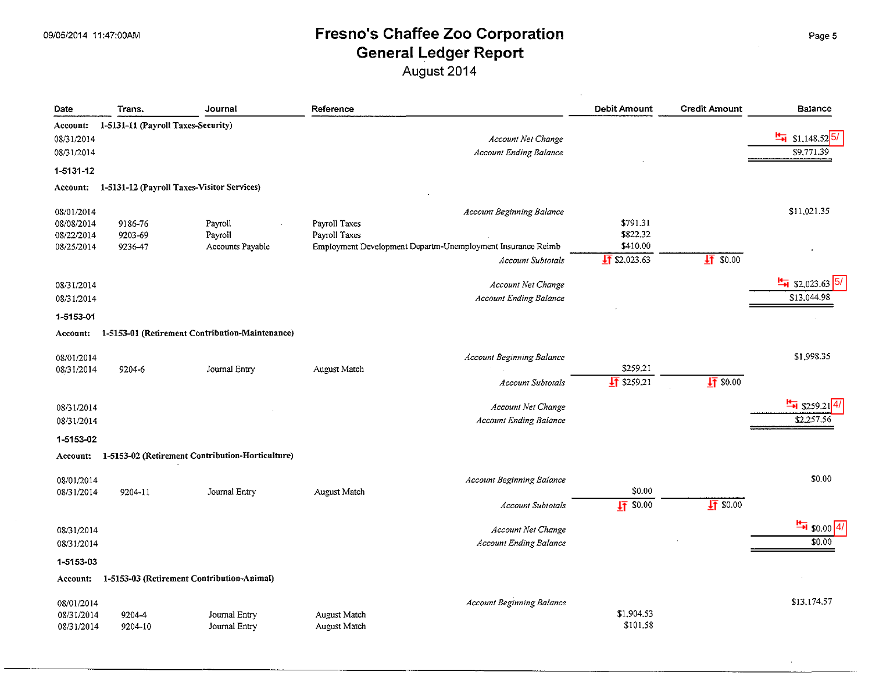| Date       | Trans.                             | Journal                                          | Reference           |                                                             | Debit Amount           | <b>Credit Amount</b> | Balance                                |
|------------|------------------------------------|--------------------------------------------------|---------------------|-------------------------------------------------------------|------------------------|----------------------|----------------------------------------|
| Account:   | 1-5131-11 (Payroll Taxes-Security) |                                                  |                     |                                                             |                        |                      |                                        |
| 08/31/2014 |                                    |                                                  |                     | Account Net Change                                          |                        |                      | $\frac{H}{H}$ \$1,148.52 <sup>5/</sup> |
| 08/31/2014 |                                    |                                                  |                     | <b>Account Ending Balance</b>                               |                        |                      | \$9,771.39                             |
| 1-5131-12  |                                    |                                                  |                     |                                                             |                        |                      |                                        |
| Account:   |                                    | 1-5131-12 (Payroll Taxes-Visitor Services)       |                     |                                                             |                        |                      |                                        |
| 08/01/2014 |                                    |                                                  |                     | <b>Account Beginning Balance</b>                            |                        |                      | \$11,021.35                            |
| 08/08/2014 | 9186-76                            | Payroll                                          | Payroll Taxes       |                                                             | \$791.31               |                      |                                        |
| 08/22/2014 | 9203-69                            | Payroll                                          | Payroll Taxes       |                                                             | \$822.32               |                      |                                        |
| 08/25/2014 | 9236-47                            | Accounts Payable                                 |                     | Employment Development Departm-Unemployment Insurance Reimb | \$410.00               |                      |                                        |
|            |                                    |                                                  |                     | <b>Account Subtotals</b>                                    | $\sqrt{11}$ \$2.023.63 | 1750.00              |                                        |
| 08/31/2014 |                                    |                                                  |                     | Account Net Change                                          |                        |                      | $\frac{H}{H}$ \$2,023.63               |
| 08/31/2014 |                                    |                                                  |                     | Account Ending Balance                                      |                        |                      | \$13,044.98                            |
| 1-5153-01  |                                    |                                                  |                     |                                                             |                        |                      |                                        |
| Account:   |                                    | 1-5153-01 (Retirement Contribution-Maintenance)  |                     |                                                             |                        |                      |                                        |
| 08/01/2014 |                                    |                                                  |                     | Account Beginning Balance                                   |                        |                      | \$1,998.35                             |
| 08/31/2014 | 9204-6                             | Journal Entry                                    | August Match        |                                                             | \$259.21               |                      |                                        |
|            |                                    |                                                  |                     | <b>Account Subtotals</b>                                    | $\frac{1}{2}$ \$259.21 | $\sqrt{4}$ \$0.00    |                                        |
| 08/31/2014 |                                    |                                                  |                     | Account Net Change                                          |                        |                      | $\frac{H}{H}$ \$259.21                 |
| 08/31/2014 |                                    |                                                  |                     | <b>Account Ending Balance</b>                               |                        |                      | \$2,257.56                             |
| 1-5153-02  |                                    |                                                  |                     |                                                             |                        |                      |                                        |
| Account:   |                                    | 1-5153-02 (Retirement Contribution-Horticulture) |                     |                                                             |                        |                      |                                        |
| 08/01/2014 |                                    |                                                  |                     | <b>Account Beginning Balance</b>                            |                        |                      | \$0.00                                 |
| 08/31/2014 | 9204-11                            | Journal Entry                                    | August Match        |                                                             | \$0.00                 |                      |                                        |
|            |                                    |                                                  |                     | <b>Account Subtotals</b>                                    | $17$ \$0.00            | $\sqrt{4}$ \$0.00    |                                        |
| 08/31/2014 |                                    |                                                  |                     | Account Net Change                                          |                        |                      | $\frac{H}{10}$ \$0.00 4/               |
| 08/31/2014 |                                    |                                                  |                     | <b>Account Ending Balance</b>                               |                        |                      | \$0.00                                 |
| 1-5153-03  |                                    |                                                  |                     |                                                             |                        |                      |                                        |
| Account:   |                                    | 1-5153-03 (Retirement Contribution-Animal)       |                     |                                                             |                        |                      |                                        |
|            |                                    |                                                  |                     |                                                             |                        |                      |                                        |
| 08/01/2014 |                                    |                                                  |                     | <b>Account Beginning Balance</b>                            |                        |                      | \$13,174.57                            |
| 08/31/2014 | 9204-4                             | Journal Entry                                    | <b>August Match</b> |                                                             | \$1,904.53             |                      |                                        |
| 08/31/2014 | 9204-10                            | Journal Entry                                    | August Match        |                                                             | \$101.58               |                      |                                        |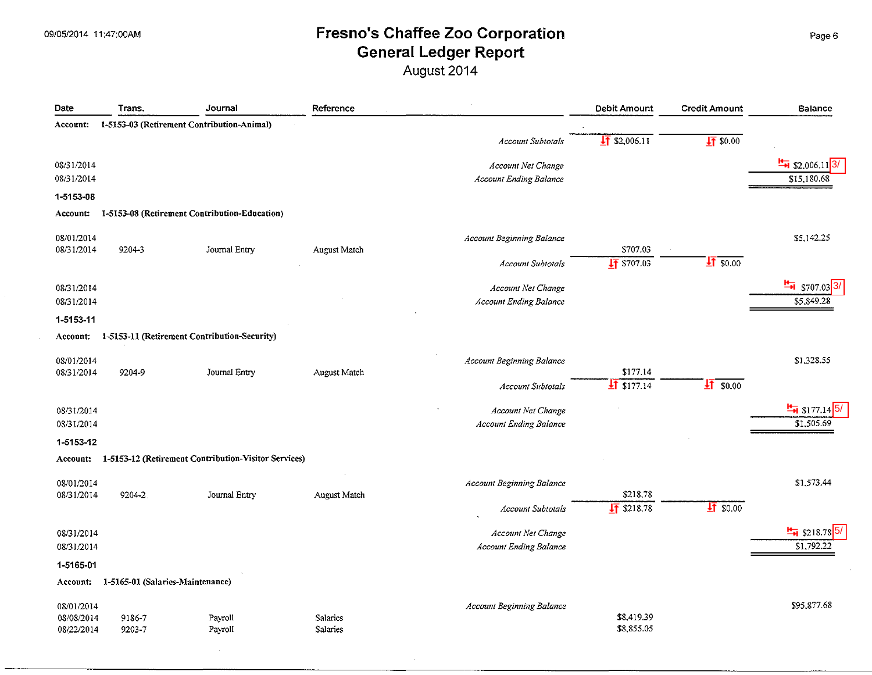August 2014

| Date       | Trans.                           | Journal                                              | Reference    |                                  | <b>Debit Amount</b>      | <b>Credit Amount</b> | <b>Balance</b>                   |
|------------|----------------------------------|------------------------------------------------------|--------------|----------------------------------|--------------------------|----------------------|----------------------------------|
| Account:   |                                  | 1-5153-03 (Retirement Contribution-Animal)           |              |                                  |                          |                      |                                  |
|            |                                  |                                                      |              | <b>Account Subtotals</b>         | $\frac{1}{2}$ \$2,006.11 | $\sqrt{4}$ \$0.00    |                                  |
| 08/31/2014 |                                  |                                                      |              | Account Net Change               |                          |                      | $\frac{H}{14}$ \$2,006.11 3/     |
| 08/31/2014 |                                  |                                                      |              | <b>Account Ending Balance</b>    |                          |                      | \$15,180.68                      |
| 1-5153-08  |                                  |                                                      |              |                                  |                          |                      |                                  |
| Account:   |                                  | 1-5153-08 (Retirement Contribution-Education)        |              |                                  |                          |                      |                                  |
| 08/01/2014 |                                  |                                                      |              | Account Beginning Balance        |                          |                      | \$5,142.25                       |
| 08/31/2014 | 9204-3                           | Journal Entry                                        | August Match |                                  | \$707.03                 |                      |                                  |
|            |                                  |                                                      |              | <b>Account Subtotals</b>         | $\sqrt{47}$ \$707.03     | $\sqrt{4}$ \$0.00    |                                  |
| 08/31/2014 |                                  |                                                      |              | Account Net Change               |                          |                      | $\frac{H}{\sqrt{2}}$ \$707.03 3/ |
| 08/31/2014 |                                  |                                                      |              | <b>Account Ending Balance</b>    |                          |                      | \$5,849.28                       |
| 1-5153-11  |                                  |                                                      |              |                                  |                          |                      |                                  |
| Account:   |                                  | 1-5153-11 (Retirement Contribution-Security)         |              |                                  |                          |                      |                                  |
| 08/01/2014 |                                  |                                                      |              | <b>Account Beginning Balance</b> |                          |                      | \$1,328.55                       |
| 08/31/2014 | 9204-9                           | Journal Entry                                        | August Match |                                  | \$177.14                 |                      |                                  |
|            |                                  |                                                      |              | <b>Account Subtotals</b>         | $\sqrt{11}$ \$177.14     | $\sqrt{4}$ \$0.00    |                                  |
| 08/31/2014 |                                  |                                                      |              | Account Net Change               |                          |                      | $\frac{H}{14}$ \$177.14 5        |
| 08/31/2014 |                                  |                                                      |              | <b>Account Ending Balance</b>    |                          |                      | \$1,505.69                       |
| 1-5153-12  |                                  |                                                      |              |                                  |                          |                      |                                  |
| Account:   |                                  | 1-5153-12 (Retirement Contribution-Visitor Services) |              |                                  |                          |                      |                                  |
| 08/01/2014 |                                  |                                                      |              | <b>Account Beginning Balance</b> |                          |                      | \$1,573.44                       |
| 08/31/2014 | 9204-2                           | Journal Entry                                        | August Match |                                  | \$218.78                 |                      |                                  |
|            |                                  |                                                      |              | <b>Account Subtotals</b>         | $\sqrt{11}$ \$218.78     | $\sqrt{4}$ \$0.00    |                                  |
| 08/31/2014 |                                  |                                                      |              | Account Net Change               |                          |                      | $\frac{H}{14}$ \$218.78 5.       |
| 08/31/2014 |                                  |                                                      |              | <b>Account Ending Balance</b>    |                          |                      | \$1,792.22                       |
| 1-5165-01  |                                  |                                                      |              |                                  |                          |                      |                                  |
| Account:   | 1-5165-01 (Salaries-Maintenance) |                                                      |              |                                  |                          |                      |                                  |
| 08/01/2014 |                                  |                                                      |              | Account Beginning Balance        |                          |                      | \$95,877.68                      |
| 08/08/2014 | 9186-7                           | Payroll                                              | Salaries     |                                  | \$8,419.39               |                      |                                  |
| 08/22/2014 | 9203-7                           | Payroll                                              | Salaries     |                                  | \$8,855.05               |                      |                                  |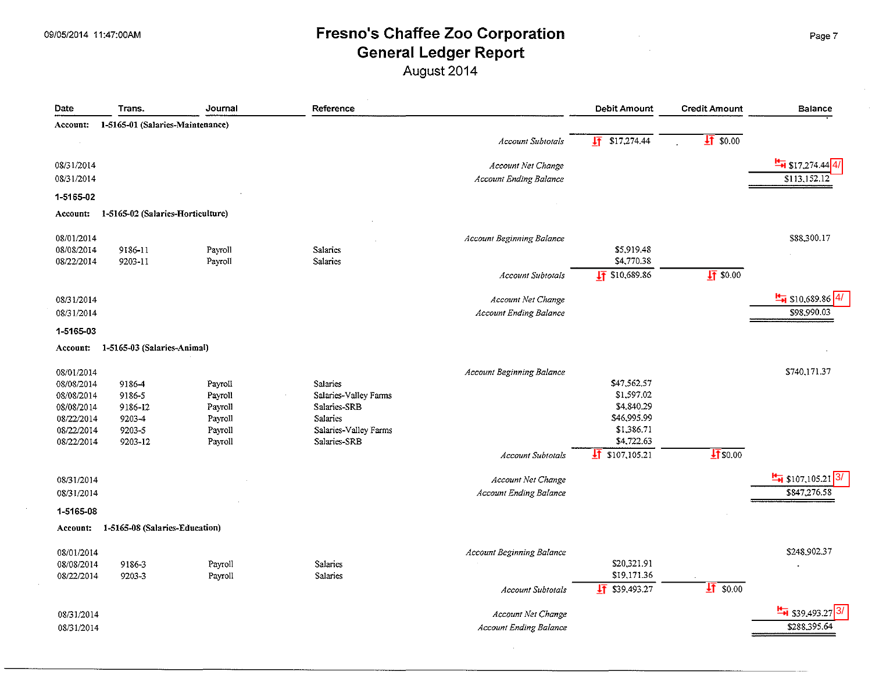### 09/05/2014 11:47:00AM **Example 200** Fresno's Chaffee Zoo Corporation **Page 7** Page 7 General Ledger Report

August 2014

| Date            | Trans.                            | Journal | Reference             |                                  | <b>Debit Amount</b>        | <b>Credit Amount</b> | <b>Balance</b>                 |
|-----------------|-----------------------------------|---------|-----------------------|----------------------------------|----------------------------|----------------------|--------------------------------|
| Account:        | 1-5165-01 (Salaries-Maintenance)  |         |                       |                                  |                            |                      |                                |
|                 |                                   |         |                       | <b>Account Subtotals</b>         | $\sqrt{11}$ \$17,274.44    | $\sqrt{4}$ \$0.00    |                                |
| 08/31/2014      |                                   |         |                       | Account Net Change               |                            |                      | $\frac{H}{H}$ \$17,274.44 4/   |
| 08/31/2014      |                                   |         |                       | <b>Account Ending Balance</b>    |                            |                      | \$113,152.12                   |
| 1-5165-02       |                                   |         |                       |                                  |                            |                      |                                |
| <b>Account:</b> | 1-5165-02 (Salaries-Horticulture) |         |                       |                                  |                            |                      |                                |
| 08/01/2014      |                                   |         |                       | Account Beginning Balance        |                            |                      | \$88,300.17                    |
| 08/08/2014      | 9186-11                           | Payroll | Salaries              |                                  | \$5,919.48                 |                      |                                |
| 08/22/2014      | 9203-11                           | Payroll | Salaries              |                                  | \$4,770.38                 |                      |                                |
|                 |                                   |         |                       | Account Subtotals                | $\sqrt{11}$ \$10,689.86    | $\frac{1}{2}$ \$0.00 |                                |
| 08/31/2014      |                                   |         |                       | Account Net Change               |                            |                      | $\frac{H}{H}$ \$10,689.86      |
| 08/31/2014      |                                   |         |                       | <b>Account Ending Balance</b>    |                            |                      | \$98,990.03                    |
| 1-5165-03       |                                   |         |                       |                                  |                            |                      |                                |
| Account:        | 1-5165-03 (Salaries-Animal)       |         |                       |                                  |                            |                      |                                |
| 08/01/2014      |                                   |         |                       | <b>Account Beginning Balance</b> |                            |                      | \$740,171.37                   |
| 08/08/2014      | 9186-4                            | Payroll | Salaries              |                                  | \$47,562.57                |                      |                                |
| 08/08/2014      | 9186-5                            | Payroll | Salaries-Valley Farms |                                  | \$1,597.02                 |                      |                                |
| 08/08/2014      | 9186-12                           | Payroll | Salaries-SRB          |                                  | \$4,840.29                 |                      |                                |
| 08/22/2014      | 9203-4                            | Payroll | Salaries              |                                  | \$46,995.99                |                      |                                |
| 08/22/2014      | 9203-5                            | Payroll | Salaries-Valley Farms |                                  | \$1,386.71<br>\$4,722.63   |                      |                                |
| 08/22/2014      | 9203-12                           | Payroll | Salaries-SRB          |                                  | $\frac{1}{2}$ \$107,105.21 | $\sqrt{11}$ \$0.00   |                                |
|                 |                                   |         |                       | <b>Account Subtotals</b>         |                            |                      |                                |
| 08/31/2014      |                                   |         |                       | Account Net Change               |                            |                      | $\frac{H}{10}$ \$107,105.21 3/ |
| 08/31/2014      |                                   |         |                       | <b>Account Ending Balance</b>    |                            |                      | \$847,276.58                   |
| 1-5165-08       |                                   |         |                       |                                  |                            |                      |                                |
| Account:        | 1-5165-08 (Salaries-Education)    |         |                       |                                  |                            |                      |                                |
| 08/01/2014      |                                   |         |                       | Account Beginning Balance        |                            |                      | \$248,902.37                   |
| 08/08/2014      | 9186-3                            | Payroll | <b>Salaries</b>       |                                  | \$20,321.91                |                      |                                |
| 08/22/2014      | 9203-3                            | Payroll | Salaries              |                                  | \$19,171.36                |                      |                                |
|                 |                                   |         |                       | Account Subtotals                | $\sqrt{11}$ \$39,493.27    | $\sqrt{41}$ \$0.00   |                                |
| 08/31/2014      |                                   |         |                       | Account Net Change               |                            |                      | $\frac{H}{H}$ \$39,493.27      |
| 08/31/2014      |                                   |         |                       | <b>Account Ending Balance</b>    |                            |                      | \$288,395.64                   |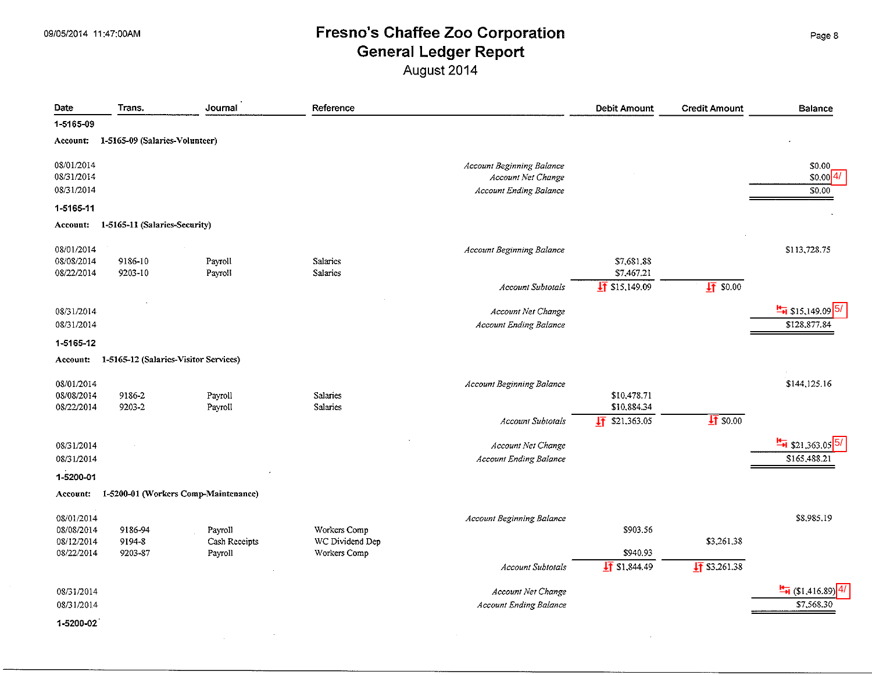$\sim$ 

### 09/05/2014 11:47:00AM **Example 200** Fresno's Chaffee Zoo Corporation General Ledger Report

August 2014

| Date                                   | Trans.                                | Journal                              | Reference                       |                                                                                  | <b>Debit Amount</b>        | <b>Credit Amount</b>     | <b>Balance</b>                      |
|----------------------------------------|---------------------------------------|--------------------------------------|---------------------------------|----------------------------------------------------------------------------------|----------------------------|--------------------------|-------------------------------------|
| 1-5165-09                              |                                       |                                      |                                 |                                                                                  |                            |                          |                                     |
| Account:                               | 1-5165-09 (Salaries-Volunteer)        |                                      |                                 |                                                                                  |                            |                          |                                     |
| 08/01/2014<br>08/31/2014<br>08/31/2014 |                                       |                                      |                                 | Account Beginning Balance<br>Account Net Change<br><b>Account Ending Balance</b> |                            |                          | \$0.00<br>\$0.00 4/<br>\$0.00       |
| 1-5165-11                              |                                       |                                      |                                 |                                                                                  |                            |                          |                                     |
| Account:                               | 1-5165-11 (Salaries-Security)         |                                      |                                 |                                                                                  |                            |                          |                                     |
| 08/01/2014<br>08/08/2014               | 9186-10                               | Payroll                              | Salaries                        | <b>Account Beginning Balance</b>                                                 | \$7,681.88                 |                          | \$113,728.75                        |
| 08/22/2014                             | 9203-10                               | Payroll                              | <b>Salaries</b>                 |                                                                                  | \$7,467.21                 |                          |                                     |
|                                        |                                       |                                      |                                 | <b>Account Subtotals</b>                                                         | $\sqrt{11}$ \$15,149.09    | 1750.00                  |                                     |
| 08/31/2014                             |                                       |                                      |                                 | Account Net Change                                                               |                            |                          | $\frac{H}{14}$ \$15,149.09 5/       |
| 08/31/2014                             |                                       |                                      |                                 | Account Ending Balance                                                           |                            |                          | \$128,877.84                        |
| 1-5165-12                              |                                       |                                      |                                 |                                                                                  |                            |                          |                                     |
| Account:                               | 1-5165-12 (Salaries-Visitor Services) |                                      |                                 |                                                                                  |                            |                          |                                     |
| 08/01/2014<br>08/08/2014<br>08/22/2014 | 9186-2<br>9203-2                      | Payroll<br>Payroll                   | Salaries<br>Salaries            | <b>Account Beginning Balance</b>                                                 | \$10,478.71<br>\$10,884.34 |                          | \$144,125.16                        |
|                                        |                                       |                                      |                                 | <b>Account Subtotals</b>                                                         | \$21,363.05<br>圷           | $17$ \$0.00              |                                     |
| 08/31/2014                             |                                       |                                      |                                 | Account Net Change                                                               |                            |                          | $\frac{H}{21}$ \$21,363.05 5/       |
| 08/31/2014                             |                                       |                                      |                                 | <b>Account Ending Balance</b>                                                    |                            |                          | \$165,488.21                        |
| 1-5200-01                              |                                       |                                      |                                 |                                                                                  |                            |                          |                                     |
| Account:                               |                                       | 1-5200-01 (Workers Comp-Maintenance) |                                 |                                                                                  |                            |                          |                                     |
| 08/01/2014<br>08/08/2014<br>08/12/2014 | 9186-94<br>9194-8                     | Payroll<br>Cash Receipts             | Workers Comp<br>WC Dividend Dep | <b>Account Beginning Balance</b>                                                 | \$903.56                   | \$3,261.38               | \$8,985.19                          |
| 08/22/2014                             | 9203-87                               | Payroll                              | Workers Comp                    |                                                                                  | \$940.93                   |                          |                                     |
|                                        |                                       |                                      |                                 | <b>Account Subtotals</b>                                                         | $\frac{1}{2}$ \$1,844.49   | $\frac{1}{2}$ \$3,261.38 |                                     |
| 08/31/2014                             |                                       |                                      |                                 | Account Net Change                                                               |                            |                          | $\frac{H}{\sqrt{2}}$ (\$1,416.89) 4 |
| 08/31/2014                             |                                       |                                      |                                 | <b>Account Ending Balance</b>                                                    |                            |                          | \$7,568.30                          |
| 1-5200-02                              |                                       |                                      |                                 |                                                                                  |                            |                          |                                     |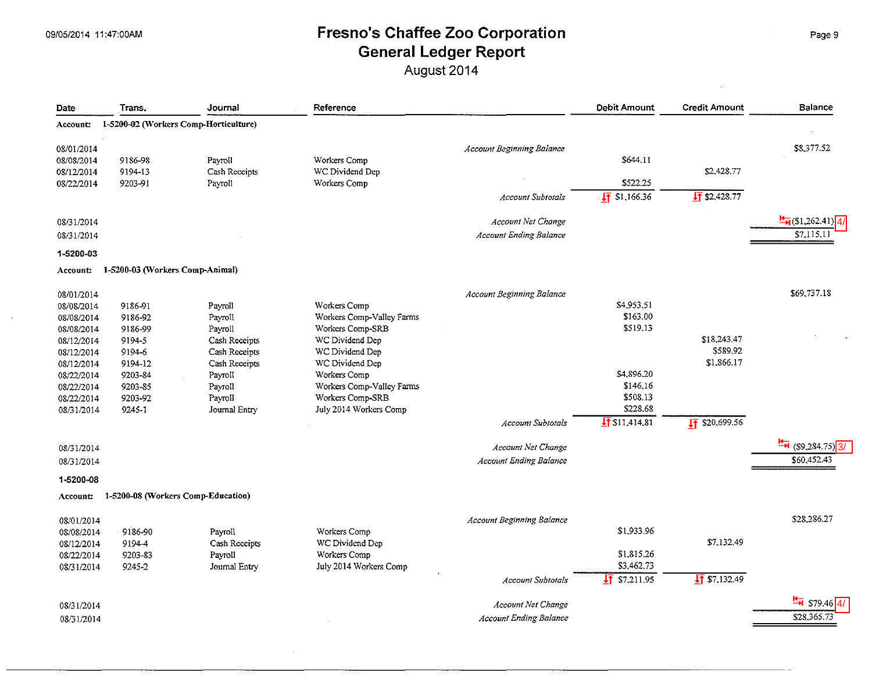## 09/05/2014 11:47:00AM **Example 200 Corporation** Page 9 Page 9 General Ledger Report

August 2014

| Date       | Trans.                             | Journal                               | Reference                 |                                  | <b>Debit Amount</b>     | <b>Credit Amount</b>       | <b>Balance</b>                       |
|------------|------------------------------------|---------------------------------------|---------------------------|----------------------------------|-------------------------|----------------------------|--------------------------------------|
| Account:   |                                    | 1-5200-02 (Workers Comp-Horticulture) |                           |                                  |                         |                            |                                      |
| 08/01/2014 |                                    |                                       |                           | Account Beginning Balance        |                         |                            | \$8,377.52                           |
| 08/08/2014 | 9186-98                            | Payroll                               | Workers Comp              |                                  | \$644.11                |                            |                                      |
| 08/12/2014 | 9194-13                            | Cash Receipts                         | WC Dividend Dep           |                                  |                         | \$2,428.77                 |                                      |
| 08/22/2014 | 9203-91                            | Payroll                               | Workers Comp              |                                  | \$522.25                |                            |                                      |
|            |                                    |                                       |                           | <b>Account Subtotals</b>         | $\sqrt{11}$ \$1,166.36  | $\sqrt{11}$ \$2.428.77     |                                      |
| 08/31/2014 |                                    |                                       |                           | Account Net Change               |                         |                            | $\frac{H}{\sqrt{4}}$ (\$1,262.41) 4/ |
| 08/31/2014 |                                    |                                       |                           | <b>Account Ending Balance</b>    |                         |                            | \$7.115.1                            |
| 1-5200-03  |                                    |                                       |                           |                                  |                         |                            |                                      |
| Account:   | 1-5200-03 (Workers Comp-Animal)    |                                       |                           |                                  |                         |                            |                                      |
| 08/01/2014 |                                    |                                       |                           | <b>Account Beginning Balance</b> |                         |                            | \$69,737.18                          |
| 08/08/2014 | 9186-91                            | Payroll                               | Workers Comp              |                                  | \$4,953.51              |                            |                                      |
| 08/08/2014 | 9186-92                            | Payroll                               | Workers Comp-Valley Farms |                                  | \$163.00                |                            |                                      |
| 08/08/2014 | 9186-99                            | Payroll                               | Workers Comp-SRB          |                                  | \$519.13                |                            |                                      |
| 08/12/2014 | 9194-5                             | Cash Receipts                         | WC Dividend Dep           |                                  |                         | \$18,243.47                |                                      |
| 08/12/2014 | 9194-6                             | Cash Receipts                         | WC Dividend Dep           |                                  |                         | \$589.92                   |                                      |
| 08/12/2014 | 9194-12                            | Cash Receipts                         | WC Dividend Dep           |                                  |                         | \$1,866.17                 |                                      |
| 08/22/2014 | 9203-84                            | Payroll                               | Workers Comp              |                                  | \$4,896.20              |                            |                                      |
| 08/22/2014 | 9203-85                            | Payroll                               | Workers Comp-Valley Farms |                                  | \$146.16                |                            |                                      |
| 08/22/2014 | 9203-92                            | Payroll                               | Workers Comp-SRB          |                                  | \$508.13                |                            |                                      |
|            |                                    |                                       |                           |                                  | \$228.68                |                            |                                      |
| 08/31/2014 | $9245 - 1$                         | Journal Entry                         | July 2014 Workers Comp    |                                  |                         |                            |                                      |
|            |                                    |                                       |                           | <b>Account Subtotals</b>         | $\sqrt{15}$ \$11,414.81 | $\frac{1}{11}$ \$20,699.56 |                                      |
| 08/31/2014 |                                    |                                       |                           | Account Net Change               |                         |                            | $\frac{H}{\sqrt{3}}$ (\$9,284.75) 3/ |
| 08/31/2014 |                                    |                                       |                           | <b>Account Ending Balance</b>    |                         |                            | \$60,452.43                          |
| 1-5200-08  |                                    |                                       |                           |                                  |                         |                            |                                      |
| Account:   | 1-5200-08 (Workers Comp-Education) |                                       |                           |                                  |                         |                            |                                      |
| 08/01/2014 |                                    |                                       |                           | Account Beginning Balance        |                         |                            | \$28,286.27                          |
| 08/08/2014 | 9186-90                            | Payroll                               | Workers Comp              |                                  | \$1,933.96              |                            |                                      |
| 08/12/2014 | 9194-4                             | Cash Receipts                         | WC Dividend Dep           |                                  |                         | \$7,132.49                 |                                      |
| 08/22/2014 | 9203-83                            | Payroll                               | Workers Comp              |                                  | \$1,815.26              |                            |                                      |
| 08/31/2014 | 9245-2                             | Journal Entry                         | July 2014 Workers Comp    |                                  | \$3,462.73              |                            |                                      |
|            |                                    |                                       |                           | <b>Account Subtotals</b>         | $\sqrt{11}$ \$7,211.95  | $\sqrt{11}$ \$7,132.49     |                                      |
| 08/31/2014 |                                    |                                       |                           | <b>Account Net Change</b>        |                         |                            | $$79.46\overline{4}$                 |
| 08/31/2014 |                                    |                                       |                           | <b>Account Ending Balance</b>    |                         |                            | \$28,365.73                          |

 $\mathcal{L}$